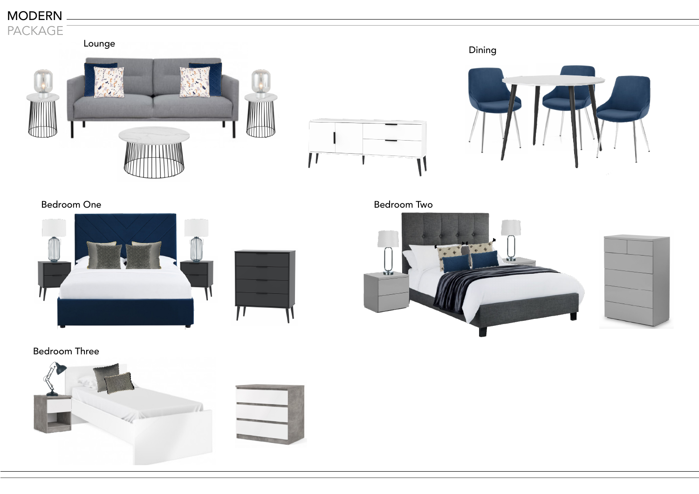





Bedroom One **Bedroom** Two







Bedroom Three